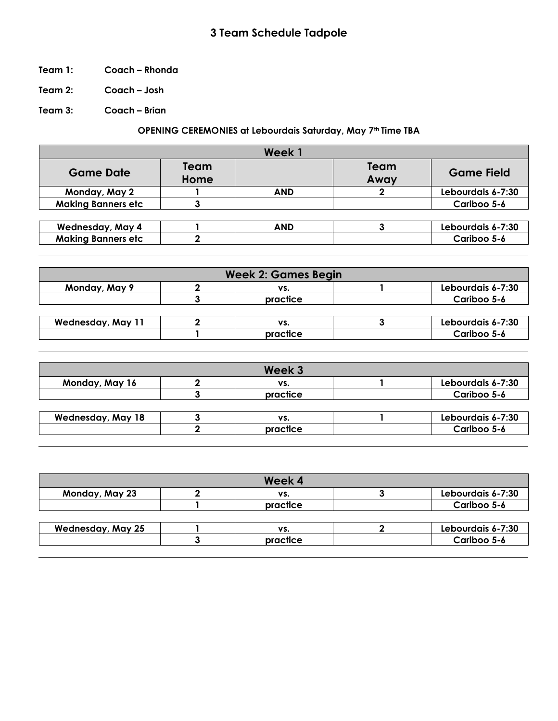## **3 Team Schedule Tadpole**

- **Team 1: Coach – Rhonda**
- **Team 2: Coach – Josh**

**Team 3: Coach – Brian**

## **OPENING CEREMONIES at Lebourdais Saturday, May 7th Time TBA**

|                           |              | Week 1     |              |                   |
|---------------------------|--------------|------------|--------------|-------------------|
| <b>Game Date</b>          | Team<br>Home |            | Team<br>Away | <b>Game Field</b> |
| Monday, May 2             |              | <b>AND</b> |              | Lebourdais 6-7:30 |
| <b>Making Banners etc</b> |              |            |              | Cariboo 5-6       |
|                           |              |            |              |                   |
| <b>Wednesday, May 4</b>   |              | <b>AND</b> |              | Lebourdais 6-7:30 |
| <b>Making Banners etc</b> |              |            |              | Cariboo 5-6       |

| <b>Week 2: Games Begin</b> |  |          |  |                   |  |
|----------------------------|--|----------|--|-------------------|--|
| Monday, May 9              |  | VS.      |  | Lebourdais 6-7:30 |  |
|                            |  | practice |  | Cariboo 5-6       |  |
|                            |  |          |  |                   |  |
| <b>Wednesday, May 11</b>   |  | VS.      |  | Lebourdais 6-7:30 |  |
|                            |  | practice |  | Cariboo 5-6       |  |

| Week 3   |                   |
|----------|-------------------|
| VS.      | Lebourdais 6-7:30 |
| practice | Cariboo 5-6       |
|          |                   |
| VS.      | Lebourdais 6-7:30 |
| practice | Cariboo 5-6       |
|          |                   |

|                          | Week 4   |                   |
|--------------------------|----------|-------------------|
| Monday, May 23           | VS.      | Lebourdais 6-7:30 |
|                          | practice | Cariboo 5-6       |
|                          |          |                   |
| <b>Wednesday, May 25</b> | VS.      | Lebourdais 6-7:30 |
|                          | practice | Cariboo 5-6       |